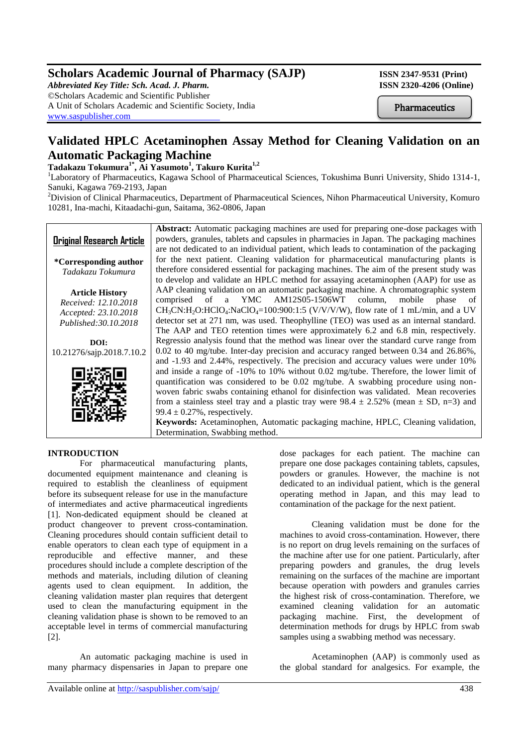# **Scholars Academic Journal of Pharmacy (SAJP) ISSN 2347-9531 (Print)**

*Abbreviated Key Title: Sch. Acad. J. Pharm.* **ISSN 2320-4206 (Online)** ©Scholars Academic and Scientific Publisher A Unit of Scholars Academic and Scientific Society, India [www.saspublisher.com](http://www.saspublisher.com/)

**Pharmaceutics** 

# **Validated HPLC Acetaminophen Assay Method for Cleaning Validation on an Automatic Packaging Machine**

# **Tadakazu Tokumura1\* , Ai Yasumoto<sup>1</sup> , Takuro Kurita1,2**

<sup>1</sup>Laboratory of Pharmaceutics, Kagawa School of Pharmaceutical Sciences, Tokushima Bunri University, Shido 1314-1, Sanuki, Kagawa 769-2193, Japan

<sup>2</sup>Division of Clinical Pharmaceutics, Department of Pharmaceutical Sciences, Nihon Pharmaceutical University, Komuro 10281, Ina-machi, Kitaadachi-gun, Saitama, 362-0806, Japan



**Keywords:** Acetaminophen, Automatic packaging machine, HPLC, Cleaning validation, Determination, Swabbing method.

# **INTRODUCTION**

For pharmaceutical manufacturing plants, documented equipment maintenance and cleaning is required to establish the cleanliness of equipment before its subsequent release for use in the manufacture of intermediates and active pharmaceutical ingredients [1]. Non-dedicated equipment should be cleaned at product changeover to prevent cross-contamination. Cleaning procedures should contain sufficient detail to enable operators to clean each type of equipment in a reproducible and effective manner, and these procedures should include a complete description of the methods and materials, including dilution of cleaning agents used to clean equipment. In addition, the cleaning validation master plan requires that detergent used to clean the manufacturing equipment in the cleaning validation phase is shown to be removed to an acceptable level in terms of commercial manufacturing [2].

An automatic packaging machine is used in many pharmacy dispensaries in Japan to prepare one

dose packages for each patient. The machine can prepare one dose packages containing tablets, capsules, powders or granules. However, the machine is not dedicated to an individual patient, which is the general operating method in Japan, and this may lead to contamination of the package for the next patient.

Cleaning validation must be done for the machines to avoid cross-contamination. However, there is no report on drug levels remaining on the surfaces of the machine after use for one patient. Particularly, after preparing powders and granules, the drug levels remaining on the surfaces of the machine are important because operation with powders and granules carries the highest risk of cross-contamination. Therefore, we examined cleaning validation for an automatic packaging machine. First, the development of determination methods for drugs by HPLC from swab samples using a swabbing method was necessary.

Acetaminophen (AAP) is commonly used as the global standard for analgesics. For example, the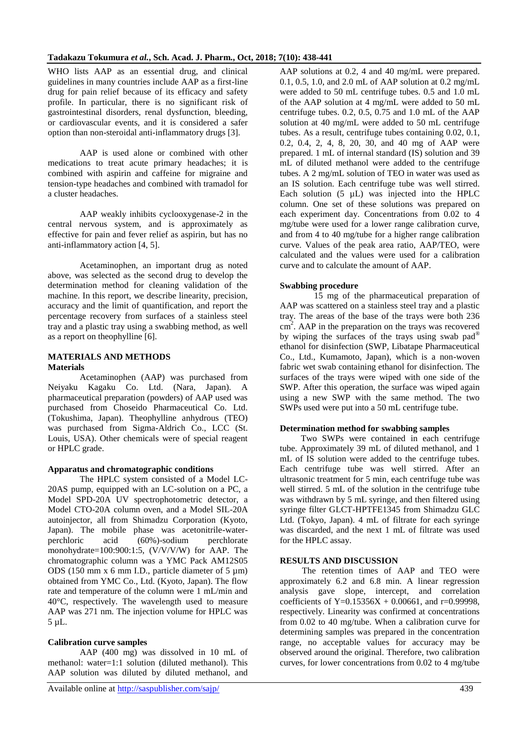WHO lists AAP as an essential drug, and clinical guidelines in many countries include AAP as a first-line drug for pain relief because of its efficacy and safety profile. In particular, there is no significant risk of gastrointestinal disorders, renal dysfunction, bleeding, or cardiovascular events, and it is considered a safer option than non-steroidal anti-inflammatory drugs [3].

AAP is used alone or combined with other medications to treat acute primary headaches; it is combined with aspirin and caffeine for migraine and tension-type headaches and combined with tramadol for a cluster headaches.

AAP weakly inhibits cyclooxygenase-2 in the central nervous system, and is approximately as effective for pain and fever relief as aspirin, but has no anti-inflammatory action [4, 5].

Acetaminophen, an important drug as noted above, was selected as the second drug to develop the determination method for cleaning validation of the machine. In this report, we describe linearity, precision, accuracy and the limit of quantification, and report the percentage recovery from surfaces of a stainless steel tray and a plastic tray using a swabbing method, as well as a report on theophylline [6].

### **MATERIALS AND METHODS Materials**

Acetaminophen (AAP) was purchased from Neiyaku Kagaku Co. Ltd. (Nara, Japan). A pharmaceutical preparation (powders) of AAP used was purchased from Choseido Pharmaceutical Co. Ltd. (Tokushima, Japan). Theophylline anhydrous (TEO) was purchased from Sigma-Aldrich Co., LCC (St. Louis, USA). Other chemicals were of special reagent or HPLC grade.

### **Apparatus and chromatographic conditions**

The HPLC system consisted of a Model LC-20AS pump, equipped with an LC-solution on a PC, a Model SPD-20A UV spectrophotometric detector, a Model CTO-20A column oven, and a Model SIL-20A autoinjector, all from Shimadzu Corporation (Kyoto, Japan). The mobile phase was acetonitrile-waterperchloric acid (60%)-sodium perchlorate monohydrate=100:900:1:5, (V/V/V/W) for AAP. The chromatographic column was a YMC Pack AM12S05 ODS (150 mm x 6 mm I.D., particle diameter of 5 µm) obtained from YMC Co., Ltd. (Kyoto, Japan). The flow rate and temperature of the column were 1 mL/min and 40°C, respectively. The wavelength used to measure AAP was 271 nm. The injection volume for HPLC was 5 µL.

### **Calibration curve samples**

AAP (400 mg) was dissolved in 10 mL of methanol: water=1:1 solution (diluted methanol). This AAP solution was diluted by diluted methanol, and

AAP solutions at 0.2, 4 and 40 mg/mL were prepared. 0.1, 0.5, 1.0, and 2.0 mL of AAP solution at 0.2 mg/mL were added to 50 mL centrifuge tubes. 0.5 and 1.0 mL of the AAP solution at 4 mg/mL were added to 50 mL centrifuge tubes.  $0.2$ ,  $0.5$ ,  $0.75$  and  $1.0$  mL of the AAP solution at 40 mg/mL were added to 50 mL centrifuge tubes. As a result, centrifuge tubes containing 0.02, 0.1, 0.2, 0.4, 2, 4, 8, 20, 30, and 40 mg of AAP were prepared. 1 mL of internal standard (IS) solution and 39 mL of diluted methanol were added to the centrifuge tubes. A 2 mg/mL solution of TEO in water was used as an IS solution. Each centrifuge tube was well stirred. Each solution  $(5 \text{ }\mu\text{L})$  was injected into the HPLC column. One set of these solutions was prepared on each experiment day. Concentrations from 0.02 to 4 mg/tube were used for a lower range calibration curve, and from 4 to 40 mg/tube for a higher range calibration curve. Values of the peak area ratio, AAP/TEO, were calculated and the values were used for a calibration curve and to calculate the amount of AAP.

# **Swabbing procedure**

15 mg of the pharmaceutical preparation of AAP was scattered on a stainless steel tray and a plastic tray. The areas of the base of the trays were both 236 cm<sup>2</sup>. AAP in the preparation on the trays was recovered by wiping the surfaces of the trays using swab pad® ethanol for disinfection (SWP, Libatape Pharmaceutical Co., Ltd., Kumamoto, Japan), which is a non-woven fabric wet swab containing ethanol for disinfection. The surfaces of the trays were wiped with one side of the SWP. After this operation, the surface was wiped again using a new SWP with the same method. The two SWPs used were put into a 50 mL centrifuge tube.

## **Determination method for swabbing samples**

Two SWPs were contained in each centrifuge tube. Approximately 39 mL of diluted methanol, and 1 mL of IS solution were added to the centrifuge tubes. Each centrifuge tube was well stirred. After an ultrasonic treatment for 5 min, each centrifuge tube was well stirred. 5 mL of the solution in the centrifuge tube was withdrawn by 5 mL syringe, and then filtered using syringe filter GLCT-HPTFE1345 from Shimadzu GLC Ltd. (Tokyo, Japan). 4 mL of filtrate for each syringe was discarded, and the next 1 mL of filtrate was used for the HPLC assay.

# **RESULTS AND DISCUSSION**

The retention times of AAP and TEO were approximately 6.2 and 6.8 min. A linear regression analysis gave slope, intercept, and correlation coefficients of Y=0.15356X + 0.00661, and r=0.99998, respectively. Linearity was confirmed at concentrations from 0.02 to 40 mg/tube. When a calibration curve for determining samples was prepared in the concentration range, no acceptable values for accuracy may be observed around the original. Therefore, two calibration curves, for lower concentrations from 0.02 to 4 mg/tube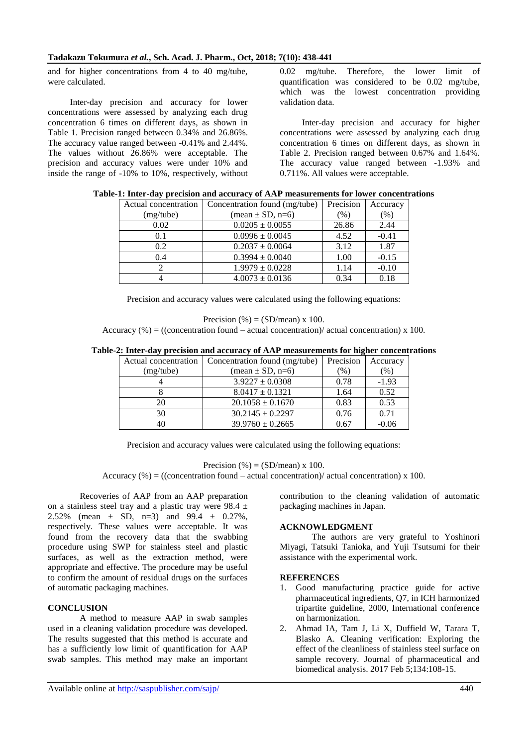#### **Tadakazu Tokumura** *et al.***, Sch. Acad. J. Pharm., Oct, 2018; 7(10): 438-441**

and for higher concentrations from 4 to 40 mg/tube, were calculated.

Inter-day precision and accuracy for lower concentrations were assessed by analyzing each drug concentration 6 times on different days, as shown in Table 1. Precision ranged between 0.34% and 26.86%. The accuracy value ranged between -0.41% and 2.44%. The values without 26.86% were acceptable. The precision and accuracy values were under 10% and inside the range of -10% to 10%, respectively, without 0.02 mg/tube. Therefore, the lower limit of quantification was considered to be 0.02 mg/tube, which was the lowest concentration providing validation data.

Inter-day precision and accuracy for higher concentrations were assessed by analyzing each drug concentration 6 times on different days, as shown in Table 2. Precision ranged between 0.67% and 1.64%. The accuracy value ranged between -1.93% and 0.711%. All values were acceptable.

| Actual concentration | Concentration found (mg/tube)             | Precision | Accuracy |
|----------------------|-------------------------------------------|-----------|----------|
| (mg/tube)            | $(\text{mean} \pm \text{SD}, \text{n=6})$ | $(\%)$    | (% )     |
| 0.02                 | $0.0205 \pm 0.0055$                       | 26.86     | 2.44     |
| 0.1                  | $0.0996 \pm 0.0045$                       | 4.52      | $-0.41$  |
| 0.2                  | $0.2037 \pm 0.0064$                       | 3.12      | 1.87     |
| 0.4                  | $0.3994 \pm 0.0040$                       | 1.00      | $-0.15$  |
|                      | $1.9979 \pm 0.0228$                       | 1.14      | $-0.10$  |
|                      | $4.0073 \pm 0.0136$                       | 0.34      | 0.18     |

|  |  |  |  |  |  |  |  | Table-1: Inter-day precision and accuracy of AAP measurements for lower concentrations |  |  |  |  |
|--|--|--|--|--|--|--|--|----------------------------------------------------------------------------------------|--|--|--|--|
|--|--|--|--|--|--|--|--|----------------------------------------------------------------------------------------|--|--|--|--|

Precision and accuracy values were calculated using the following equations:

$$
Precision(%) = (SD/mean) \times 100.
$$

Accuracy  $%$  = ((concentration found – actual concentration)/ actual concentration) x 100.

#### **Table-2: Inter-day precision and accuracy of AAP measurements for higher concentrations**

| Actual concentration | Concentration found (mg/tube)             | Precision | Accuracy |
|----------------------|-------------------------------------------|-----------|----------|
| (mg/tube)            | $(\text{mean} \pm \text{SD}, \text{n=6})$ | (%)       | $(\%)$   |
|                      | $3.9227 \pm 0.0308$                       | 0.78      | $-1.93$  |
|                      | $8.0417 \pm 0.1321$                       | 1.64      | 0.52     |
| 20                   | $20.1058 \pm 0.1670$                      | 0.83      | 0.53     |
| 30                   | $30.2145 \pm 0.2297$                      | 0.76      | 0.71     |
| 40                   | $39.9760 \pm 0.2665$                      | 0.67      | $-0.06$  |

Precision and accuracy values were calculated using the following equations:

Precision (%) =  $(SD/mean) \times 100$ .

Accuracy  $(\%)$  = ((concentration found – actual concentration)/ actual concentration) x 100.

Recoveries of AAP from an AAP preparation on a stainless steel tray and a plastic tray were  $98.4 \pm$ 2.52% (mean  $\pm$  SD, n=3) and 99.4  $\pm$  0.27%, respectively. These values were acceptable. It was found from the recovery data that the swabbing procedure using SWP for stainless steel and plastic surfaces, as well as the extraction method, were appropriate and effective. The procedure may be useful to confirm the amount of residual drugs on the surfaces of automatic packaging machines.

## **CONCLUSION**

A method to measure AAP in swab samples used in a cleaning validation procedure was developed. The results suggested that this method is accurate and has a sufficiently low limit of quantification for AAP swab samples. This method may make an important contribution to the cleaning validation of automatic packaging machines in Japan.

#### **ACKNOWLEDGMENT**

The authors are very grateful to Yoshinori Miyagi, Tatsuki Tanioka, and Yuji Tsutsumi for their assistance with the experimental work.

#### **REFERENCES**

- 1. Good manufacturing practice guide for active pharmaceutical ingredients, Q7, in ICH harmonized tripartite guideline, 2000, International conference on harmonization.
- 2. Ahmad IA, Tam J, Li X, Duffield W, Tarara T, Blasko A. Cleaning verification: Exploring the effect of the cleanliness of stainless steel surface on sample recovery. Journal of pharmaceutical and biomedical analysis. 2017 Feb 5;134:108-15.